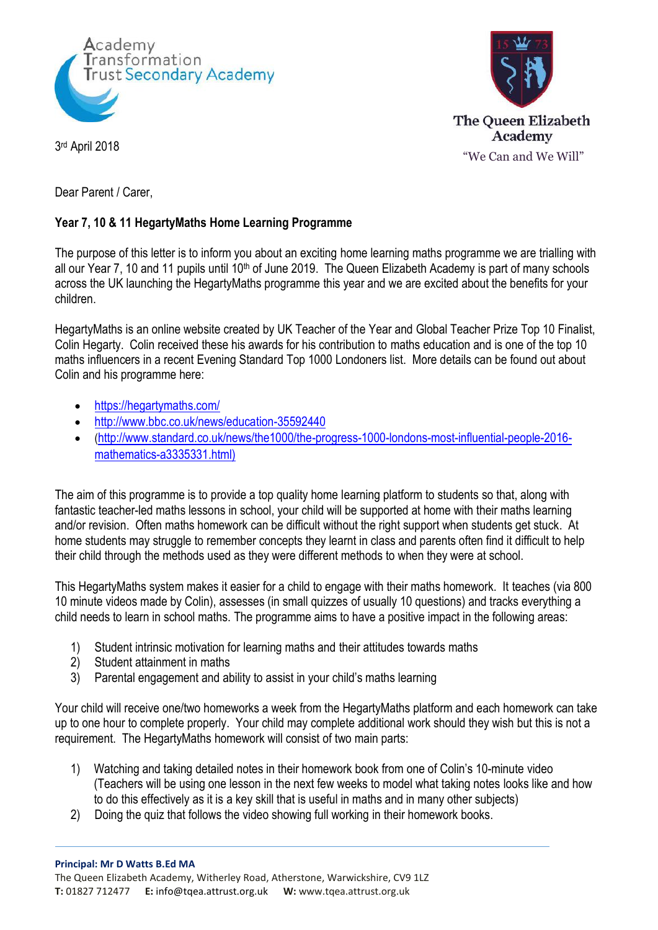



3 rd April 2018

Dear Parent / Carer,

## **Year 7, 10 & 11 HegartyMaths Home Learning Programme**

The purpose of this letter is to inform you about an exciting home learning maths programme we are trialling with all our Year 7, 10 and 11 pupils until 10<sup>th</sup> of June 2019. The Queen Elizabeth Academy is part of many schools across the UK launching the HegartyMaths programme this year and we are excited about the benefits for your children.

HegartyMaths is an online website created by UK Teacher of the Year and Global Teacher Prize Top 10 Finalist, Colin Hegarty. Colin received these his awards for his contribution to maths education and is one of the top 10 maths influencers in a recent Evening Standard Top 1000 Londoners list. More details can be found out about Colin and his programme here:

- <https://hegartymaths.com/>
- <http://www.bbc.co.uk/news/education-35592440>
- ([http://www.standard.co.uk/news/the1000/the-progress-1000-londons-most-influential-people-2016](http://www.standard.co.uk/news/the1000/the-progress-1000-londons-most-influential-people-2016-mathematics-a3335331.html)) [mathematics-a3335331.html\)](http://www.standard.co.uk/news/the1000/the-progress-1000-londons-most-influential-people-2016-mathematics-a3335331.html))

The aim of this programme is to provide a top quality home learning platform to students so that, along with fantastic teacher-led maths lessons in school, your child will be supported at home with their maths learning and/or revision. Often maths homework can be difficult without the right support when students get stuck. At home students may struggle to remember concepts they learnt in class and parents often find it difficult to help their child through the methods used as they were different methods to when they were at school.

This HegartyMaths system makes it easier for a child to engage with their maths homework. It teaches (via 800 10 minute videos made by Colin), assesses (in small quizzes of usually 10 questions) and tracks everything a child needs to learn in school maths. The programme aims to have a positive impact in the following areas:

- 1) Student intrinsic motivation for learning maths and their attitudes towards maths
- 2) Student attainment in maths
- 3) Parental engagement and ability to assist in your child's maths learning

Your child will receive one/two homeworks a week from the HegartyMaths platform and each homework can take up to one hour to complete properly. Your child may complete additional work should they wish but this is not a requirement. The HegartyMaths homework will consist of two main parts:

- 1) Watching and taking detailed notes in their homework book from one of Colin's 10-minute video (Teachers will be using one lesson in the next few weeks to model what taking notes looks like and how to do this effectively as it is a key skill that is useful in maths and in many other subjects)
- 2) Doing the quiz that follows the video showing full working in their homework books.